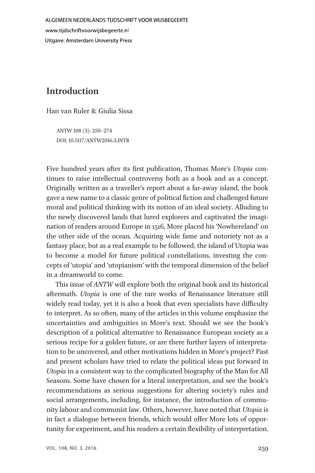ALGEMEEN NEDERLANDS TIJDSCHRIFT VOOR WIJSBEGEERTE www.tijdschriftvoorwijsbegeerte.nl **Uitgave: Amsterdam University Press** 

# Introduction

Han van Ruler & Giulia Sissa

ANTW 108 (3): 259–274 DOI: 10.5117/ANTW2016.3.INTR

Five hundred years after its first publication, Thomas More's Utopia continues to raise intellectual controversy both as a book and as a concept. Originally written as a traveller's report about a far-away island, the book gave a new name to a classic genre of political fiction and challenged future moral and political thinking with its notion of an ideal society. Alluding to the newly discovered lands that lured explorers and captivated the imagination of readers around Europe in 1516, More placed his 'Nowhereland' on the other side of the ocean. Acquiring wide fame and notoriety not as a fantasy place, but as a real example to be followed, the island of Utopia was to become a model for future political constellations, investing the concepts of 'utopia' and 'utopianism' with the temporal dimension of the belief in a dreamworld to come.

This issue of ANTW will explore both the original book and its historical aftermath. Utopia is one of the rare works of Renaissance literature still widely read today, yet it is also a book that even specialists have difficulty to interpret. As so often, many of the articles in this volume emphasize the uncertainties and ambiguities in More's text. Should we see the book's description of a political alternative to Renaissance European society as a serious recipe for a golden future, or are there further layers of interpretation to be uncovered, and other motivations hidden in More's project? Past and present scholars have tried to relate the political ideas put forward in Utopia in a consistent way to the complicated biography of the Man for All Seasons. Some have chosen for a literal interpretation, and see the book's recommendations as serious suggestions for altering society's rules and social arrangements, including, for instance, the introduction of community labour and communist law. Others, however, have noted that Utopia is in fact a dialogue between friends, which would offer More lots of opportunity for experiment, and his readers a certain flexibility of interpretation.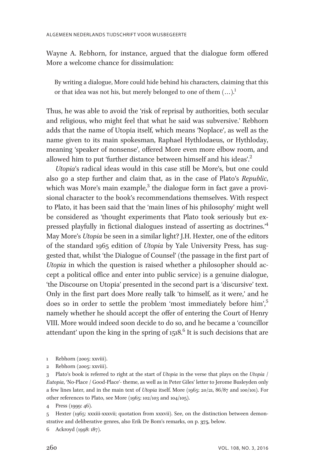Wayne A. Rebhorn, for instance, argued that the dialogue form offered More a welcome chance for dissimulation:

By writing a dialogue, More could hide behind his characters, claiming that this or that idea was not his, but merely belonged to one of them  $(...)^1$ 

Thus, he was able to avoid the 'risk of reprisal by authorities, both secular and religious, who might feel that what he said was subversive.' Rebhorn adds that the name of Utopia itself, which means 'Noplace', as well as the name given to its main spokesman, Raphael Hythlodaeus, or Hythloday, meaning 'speaker of nonsense', offered More even more elbow room, and allowed him to put 'further distance between himself and his ideas'. 2

Utopia's radical ideas would in this case still be More's, but one could also go a step further and claim that, as in the case of Plato's Republic, which was More's main example, $3$  the dialogue form in fact gave a provisional character to the book's recommendations themselves. With respect to Plato, it has been said that the 'main lines of his philosophy' might well be considered as 'thought experiments that Plato took seriously but expressed playfully in fictional dialogues instead of asserting as doctrines.<sup>14</sup> May More's Utopia be seen in a similar light? J.H. Hexter, one of the editors of the standard 1965 edition of Utopia by Yale University Press, has suggested that, whilst 'the Dialogue of Counsel' (the passage in the first part of Utopia in which the question is raised whether a philosopher should accept a political office and enter into public service) is a genuine dialogue, 'the Discourse on Utopia' presented in the second part is a 'discursive' text. Only in the first part does More really talk 'to himself, as it were,' and he does so in order to settle the problem 'most immediately before him', 5 namely whether he should accept the offer of entering the Court of Henry VIII. More would indeed soon decide to do so, and he became a 'councillor attendant' upon the king in the spring of  $1518$ .<sup>6</sup> It is such decisions that are

- 1 Rebhorn (2005: xxviii).
- 2 Rebhorn (2005: xxviii).

3 Plato's book is referred to right at the start of Utopia in the verse that plays on the Utopia / Eutopia, 'No-Place / Good-Place'- theme, as well as in Peter Giles' letter to Jerome Busleyden only a few lines later, and in the main text of Utopia itself. More (1965: 20/21, 86/87 and 100/101). For other references to Plato, see More (1965: 102/103 and 104/105).

4 Press (1999: 46).

5 Hexter (1965: xxxiii-xxxvii; quotation from xxxvii). See, on the distinction between demonstrative and deliberative genres, also Erik De Bom's remarks, on p. 375, below.

6 Ackroyd (1998: 187).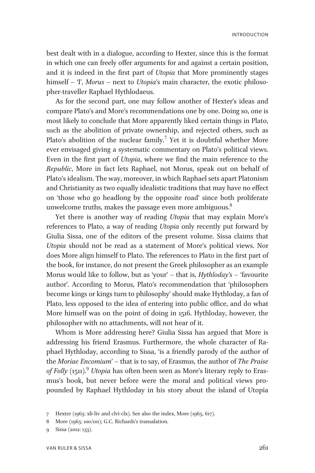best dealt with in a dialogue, according to Hexter, since this is the format in which one can freely offer arguments for and against a certain position, and it is indeed in the first part of Utopia that More prominently stages himself – T, Morus – next to Utopia's main character, the exotic philosopher-traveller Raphael Hythlodaeus.

As for the second part, one may follow another of Hexter's ideas and compare Plato's and More's recommendations one by one. Doing so, one is most likely to conclude that More apparently liked certain things in Plato, such as the abolition of private ownership, and rejected others, such as Plato's abolition of the nuclear family.<sup>7</sup> Yet it is doubtful whether More ever envisaged giving a systematic commentary on Plato's political views. Even in the first part of Utopia, where we find the main reference to the Republic, More in fact lets Raphael, not Morus, speak out on behalf of Plato's idealism. The way, moreover, in which Raphael sets apart Platonism and Christianity as two equally idealistic traditions that may have no effect on 'those who go headlong by the opposite road' since both proliferate unwelcome truths, makes the passage even more ambiguous.<sup>8</sup>

Yet there is another way of reading Utopia that may explain More's references to Plato, a way of reading Utopia only recently put forward by Giulia Sissa, one of the editors of the present volume. Sissa claims that Utopia should not be read as a statement of More's political views. Nor does More align himself to Plato. The references to Plato in the first part of the book, for instance, do not present the Greek philosopher as an example Morus would like to follow, but as 'your' – that is, Hythloday's – 'favourite author'. According to Morus, Plato's recommendation that 'philosophers become kings or kings turn to philosophy' should make Hythloday, a fan of Plato, less opposed to the idea of entering into public office, and do what More himself was on the point of doing in 1516. Hythloday, however, the philosopher with no attachments, will not hear of it.

Whom is More addressing here? Giulia Sissa has argued that More is addressing his friend Erasmus. Furthermore, the whole character of Raphael Hythloday, according to Sissa, 'is a friendly parody of the author of the Moriae Encomium' – that is to say, of Erasmus, the author of The Praise of Folly (1511).<sup>9</sup> Utopia has often been seen as More's literary reply to Erasmus's book, but never before were the moral and political views propounded by Raphael Hythloday in his story about the island of Utopia

<sup>7</sup> Hexter (1965: xli-liv and clvi-clx). See also the index, More (1965, 617).

<sup>8</sup> More (1965: 100/101); G.C. Richards's transalation.

<sup>9</sup> Sissa (2012: 133).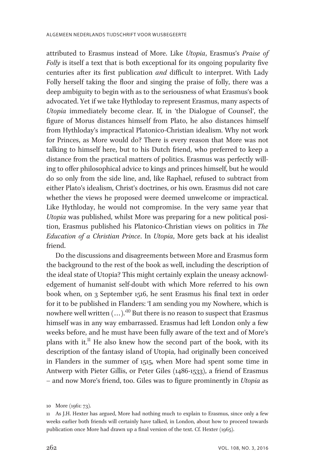attributed to Erasmus instead of More. Like Utopia, Erasmus's Praise of Folly is itself a text that is both exceptional for its ongoing popularity five centuries after its first publication and difficult to interpret. With Lady Folly herself taking the floor and singing the praise of folly, there was a deep ambiguity to begin with as to the seriousness of what Erasmus's book advocated. Yet if we take Hythloday to represent Erasmus, many aspects of Utopia immediately become clear. If, in 'the Dialogue of Counsel', the figure of Morus distances himself from Plato, he also distances himself from Hythloday's impractical Platonico-Christian idealism. Why not work for Princes, as More would do? There is every reason that More was not talking to himself here, but to his Dutch friend, who preferred to keep a distance from the practical matters of politics. Erasmus was perfectly willing to offer philosophical advice to kings and princes himself, but he would do so only from the side line, and, like Raphael, refused to subtract from either Plato's idealism, Christ's doctrines, or his own. Erasmus did not care whether the views he proposed were deemed unwelcome or impractical. Like Hythloday, he would not compromise. In the very same year that Utopia was published, whilst More was preparing for a new political position, Erasmus published his Platonico-Christian views on politics in The Education of a Christian Prince. In Utopia, More gets back at his idealist friend.

Do the discussions and disagreements between More and Erasmus form the background to the rest of the book as well, including the description of the ideal state of Utopia? This might certainly explain the uneasy acknowledgement of humanist self-doubt with which More referred to his own book when, on 3 September 1516, he sent Erasmus his final text in order for it to be published in Flanders: 'I am sending you my Nowhere, which is nowhere well written  $(...).$ <sup>10</sup> But there is no reason to suspect that Erasmus himself was in any way embarrassed. Erasmus had left London only a few weeks before, and he must have been fully aware of the text and of More's plans with it.<sup>11</sup> He also knew how the second part of the book, with its description of the fantasy island of Utopia, had originally been conceived in Flanders in the summer of 1515, when More had spent some time in Antwerp with Pieter Gillis, or Peter Giles (1486-1533), a friend of Erasmus – and now More's friend, too. Giles was to figure prominently in Utopia as

<sup>10</sup> More (1961: 73).

<sup>11</sup> As J.H. Hexter has argued, More had nothing much to explain to Erasmus, since only a few weeks earlier both friends will certainly have talked, in London, about how to proceed towards publication once More had drawn up a final version of the text. Cf. Hexter (1965).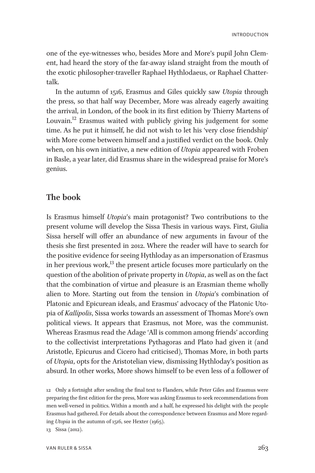one of the eye-witnesses who, besides More and More's pupil John Clement, had heard the story of the far-away island straight from the mouth of the exotic philosopher-traveller Raphael Hythlodaeus, or Raphael Chattertalk.

In the autumn of 1516, Erasmus and Giles quickly saw Utopia through the press, so that half way December, More was already eagerly awaiting the arrival, in London, of the book in its first edition by Thierry Martens of Louvain.<sup>12</sup> Erasmus waited with publicly giving his judgement for some time. As he put it himself, he did not wish to let his 'very close friendship' with More come between himself and a justified verdict on the book. Only when, on his own initiative, a new edition of Utopia appeared with Froben in Basle, a year later, did Erasmus share in the widespread praise for More's genius.

## The book

Is Erasmus himself Utopia's main protagonist? Two contributions to the present volume will develop the Sissa Thesis in various ways. First, Giulia Sissa herself will offer an abundance of new arguments in favour of the thesis she first presented in 2012. Where the reader will have to search for the positive evidence for seeing Hythloday as an impersonation of Erasmus in her previous work, $^{13}$  the present article focuses more particularly on the question of the abolition of private property in Utopia, as well as on the fact that the combination of virtue and pleasure is an Erasmian theme wholly alien to More. Starting out from the tension in Utopia's combination of Platonic and Epicurean ideals, and Erasmus' advocacy of the Platonic Utopia of Kallipolis, Sissa works towards an assessment of Thomas More's own political views. It appears that Erasmus, not More, was the communist. Whereas Erasmus read the Adage 'All is common among friends' according to the collectivist interpretations Pythagoras and Plato had given it (and Aristotle, Epicurus and Cicero had criticised), Thomas More, in both parts of Utopia, opts for the Aristotelian view, dismissing Hythloday's position as absurd. In other works, More shows himself to be even less of a follower of

13 Sissa (2012).

<sup>12</sup> Only a fortnight after sending the final text to Flanders, while Peter Giles and Erasmus were preparing the first edition for the press, More was asking Erasmus to seek recommendations from men well-versed in politics. Within a month and a half, he expressed his delight with the people Erasmus had gathered. For details about the correspondence between Erasmus and More regarding Utopia in the autumn of 1516, see Hexter (1965).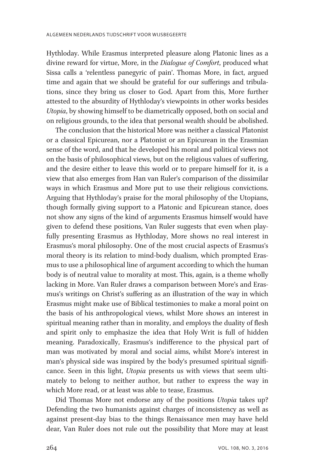Hythloday. While Erasmus interpreted pleasure along Platonic lines as a divine reward for virtue, More, in the *Dialogue of Comfort*, produced what Sissa calls a 'relentless panegyric of pain'. Thomas More, in fact, argued time and again that we should be grateful for our sufferings and tribulations, since they bring us closer to God. Apart from this, More further attested to the absurdity of Hythloday's viewpoints in other works besides Utopia, by showing himself to be diametrically opposed, both on social and on religious grounds, to the idea that personal wealth should be abolished.

The conclusion that the historical More was neither a classical Platonist or a classical Epicurean, nor a Platonist or an Epicurean in the Erasmian sense of the word, and that he developed his moral and political views not on the basis of philosophical views, but on the religious values of suffering, and the desire either to leave this world or to prepare himself for it, is a view that also emerges from Han van Ruler's comparison of the dissimilar ways in which Erasmus and More put to use their religious convictions. Arguing that Hythloday's praise for the moral philosophy of the Utopians, though formally giving support to a Platonic and Epicurean stance, does not show any signs of the kind of arguments Erasmus himself would have given to defend these positions, Van Ruler suggests that even when playfully presenting Erasmus as Hythloday, More shows no real interest in Erasmus's moral philosophy. One of the most crucial aspects of Erasmus's moral theory is its relation to mind-body dualism, which prompted Erasmus to use a philosophical line of argument according to which the human body is of neutral value to morality at most. This, again, is a theme wholly lacking in More. Van Ruler draws a comparison between More's and Erasmus's writings on Christ's suffering as an illustration of the way in which Erasmus might make use of Biblical testimonies to make a moral point on the basis of his anthropological views, whilst More shows an interest in spiritual meaning rather than in morality, and employs the duality of flesh and spirit only to emphasize the idea that Holy Writ is full of hidden meaning. Paradoxically, Erasmus's indifference to the physical part of man was motivated by moral and social aims, whilst More's interest in man's physical side was inspired by the body's presumed spiritual significance. Seen in this light, Utopia presents us with views that seem ultimately to belong to neither author, but rather to express the way in which More read, or at least was able to tease, Erasmus.

Did Thomas More not endorse any of the positions Utopia takes up? Defending the two humanists against charges of inconsistency as well as against present-day bias to the things Renaissance men may have held dear, Van Ruler does not rule out the possibility that More may at least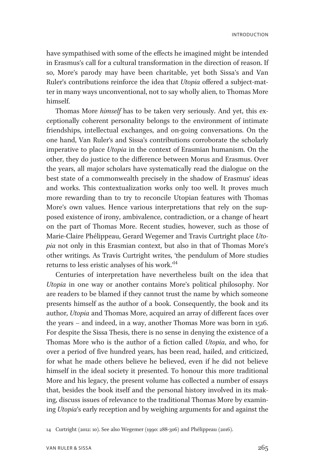have sympathised with some of the effects he imagined might be intended in Erasmus's call for a cultural transformation in the direction of reason. If so, More's parody may have been charitable, yet both Sissa's and Van Ruler's contributions reinforce the idea that Utopia offered a subject-matter in many ways unconventional, not to say wholly alien, to Thomas More himself.

Thomas More himself has to be taken very seriously. And yet, this exceptionally coherent personality belongs to the environment of intimate friendships, intellectual exchanges, and on-going conversations. On the one hand, Van Ruler's and Sissa's contributions corroborate the scholarly imperative to place Utopia in the context of Erasmian humanism. On the other, they do justice to the difference between Morus and Erasmus. Over the years, all major scholars have systematically read the dialogue on the best state of a commonwealth precisely in the shadow of Erasmus' ideas and works. This contextualization works only too well. It proves much more rewarding than to try to reconcile Utopian features with Thomas More's own values. Hence various interpretations that rely on the supposed existence of irony, ambivalence, contradiction, or a change of heart on the part of Thomas More. Recent studies, however, such as those of Marie-Claire Phélippeau, Gerard Wegemer and Travis Curtright place Utopia not only in this Erasmian context, but also in that of Thomas More's other writings. As Travis Curtright writes, 'the pendulum of More studies returns to less eristic analyses of his work.' 14

Centuries of interpretation have nevertheless built on the idea that Utopia in one way or another contains More's political philosophy. Nor are readers to be blamed if they cannot trust the name by which someone presents himself as the author of a book. Consequently, the book and its author, Utopia and Thomas More, acquired an array of different faces over the years – and indeed, in a way, another Thomas More was born in 1516. For despite the Sissa Thesis, there is no sense in denying the existence of a Thomas More who is the author of a fiction called Utopia, and who, for over a period of five hundred years, has been read, hailed, and criticized, for what he made others believe he believed, even if he did not believe himself in the ideal society it presented. To honour this more traditional More and his legacy, the present volume has collected a number of essays that, besides the book itself and the personal history involved in its making, discuss issues of relevance to the traditional Thomas More by examining Utopia's early reception and by weighing arguments for and against the

14 Curtright (2012: 10). See also Wegemer (1990: 288-306) and Phélippeau (2016).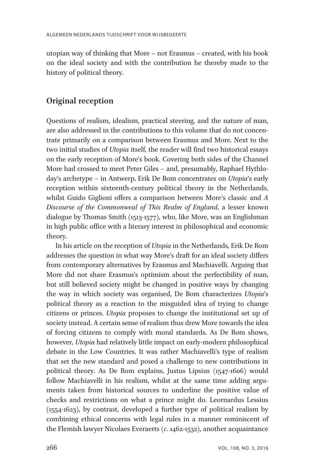utopian way of thinking that More – not Erasmus – created, with his book on the ideal society and with the contribution he thereby made to the history of political theory.

# Original reception

Questions of realism, idealism, practical steering, and the nature of man, are also addressed in the contributions to this volume that do not concentrate primarily on a comparison between Erasmus and More. Next to the two initial studies of *Utopia* itself, the reader will find two historical essays on the early reception of More's book. Covering both sides of the Channel More had crossed to meet Peter Giles – and, presumably, Raphael Hythloday's archetype – in Antwerp, Erik De Bom concentrates on Utopia's early reception within sixteenth-century political theory in the Netherlands, whilst Guido Giglioni offers a comparison between More's classic and A Discourse of the Commonweal of This Realm of England, a lesser known dialogue by Thomas Smith (1513-1577), who, like More, was an Englishman in high public office with a literary interest in philosophical and economic theory.

In his article on the reception of Utopia in the Netherlands, Erik De Bom addresses the question in what way More's draft for an ideal society differs from contemporary alternatives by Erasmus and Machiavelli. Arguing that More did not share Erasmus's optimism about the perfectibility of man, but still believed society might be changed in positive ways by changing the way in which society was organised, De Bom characterizes Utopia's political theory as a reaction to the misguided idea of trying to change citizens or princes. Utopia proposes to change the institutional set up of society instead. A certain sense of realism thus drew More towards the idea of forcing citizens to comply with moral standards. As De Bom shows, however, Utopia had relatively little impact on early-modern philosophical debate in the Low Countries. It was rather Machiavelli's type of realism that set the new standard and posed a challenge to new contributions in political theory. As De Bom explains, Justus Lipsius (1547-1606) would follow Machiavelli in his realism, whilst at the same time adding arguments taken from historical sources to underline the positive value of checks and restrictions on what a prince might do. Leornardus Lessius (1554-1623), by contrast, developed a further type of political realism by combining ethical concerns with legal rules in a manner reminiscent of the Flemish lawyer Nicolaes Everaerts (c. 1462-1532), another acquaintance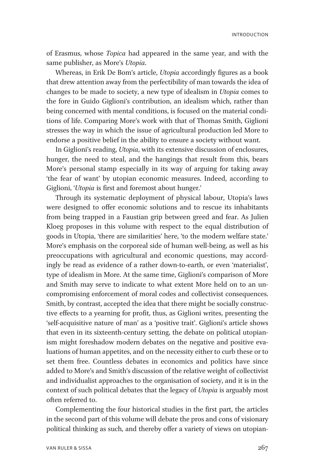of Erasmus, whose Topica had appeared in the same year, and with the same publisher, as More's Utopia.

Whereas, in Erik De Bom's article, Utopia accordingly figures as a book that drew attention away from the perfectibility of man towards the idea of changes to be made to society, a new type of idealism in Utopia comes to the fore in Guido Giglioni's contribution, an idealism which, rather than being concerned with mental conditions, is focused on the material conditions of life. Comparing More's work with that of Thomas Smith, Giglioni stresses the way in which the issue of agricultural production led More to endorse a positive belief in the ability to ensure a society without want.

In Giglioni's reading, Utopia, with its extensive discussion of enclosures, hunger, the need to steal, and the hangings that result from this, bears More's personal stamp especially in its way of arguing for taking away 'the fear of want' by utopian economic measures. Indeed, according to Giglioni, 'Utopia is first and foremost about hunger.'

Through its systematic deployment of physical labour, Utopia's laws were designed to offer economic solutions and to rescue its inhabitants from being trapped in a Faustian grip between greed and fear. As Julien Kloeg proposes in this volume with respect to the equal distribution of goods in Utopia, 'there are similarities' here, 'to the modern welfare state.' More's emphasis on the corporeal side of human well-being, as well as his preoccupations with agricultural and economic questions, may accordingly be read as evidence of a rather down-to-earth, or even 'materialist', type of idealism in More. At the same time, Giglioni's comparison of More and Smith may serve to indicate to what extent More held on to an uncompromising enforcement of moral codes and collectivist consequences. Smith, by contrast, accepted the idea that there might be socially constructive effects to a yearning for profit, thus, as Giglioni writes, presenting the 'self-acquisitive nature of man' as a 'positive trait'. Giglioni's article shows that even in its sixteenth-century setting, the debate on political utopianism might foreshadow modern debates on the negative and positive evaluations of human appetites, and on the necessity either to curb these or to set them free. Countless debates in economics and politics have since added to More's and Smith's discussion of the relative weight of collectivist and individualist approaches to the organisation of society, and it is in the context of such political debates that the legacy of Utopia is arguably most often referred to.

Complementing the four historical studies in the first part, the articles in the second part of this volume will debate the pros and cons of visionary political thinking as such, and thereby offer a variety of views on utopian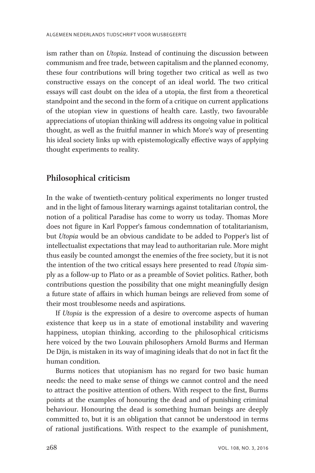ism rather than on *Utopia*. Instead of continuing the discussion between communism and free trade, between capitalism and the planned economy, these four contributions will bring together two critical as well as two constructive essays on the concept of an ideal world. The two critical essays will cast doubt on the idea of a utopia, the first from a theoretical standpoint and the second in the form of a critique on current applications of the utopian view in questions of health care. Lastly, two favourable appreciations of utopian thinking will address its ongoing value in political thought, as well as the fruitful manner in which More's way of presenting his ideal society links up with epistemologically effective ways of applying thought experiments to reality.

## Philosophical criticism

In the wake of twentieth-century political experiments no longer trusted and in the light of famous literary warnings against totalitarian control, the notion of a political Paradise has come to worry us today. Thomas More does not figure in Karl Popper's famous condemnation of totalitarianism, but *Utopia* would be an obvious candidate to be added to Popper's list of intellectualist expectations that may lead to authoritarian rule. More might thus easily be counted amongst the enemies of the free society, but it is not the intention of the two critical essays here presented to read Utopia simply as a follow-up to Plato or as a preamble of Soviet politics. Rather, both contributions question the possibility that one might meaningfully design a future state of affairs in which human beings are relieved from some of their most troublesome needs and aspirations.

If Utopia is the expression of a desire to overcome aspects of human existence that keep us in a state of emotional instability and wavering happiness, utopian thinking, according to the philosophical criticisms here voiced by the two Louvain philosophers Arnold Burms and Herman De Dijn, is mistaken in its way of imagining ideals that do not in fact fit the human condition.

Burms notices that utopianism has no regard for two basic human needs: the need to make sense of things we cannot control and the need to attract the positive attention of others. With respect to the first, Burms points at the examples of honouring the dead and of punishing criminal behaviour. Honouring the dead is something human beings are deeply committed to, but it is an obligation that cannot be understood in terms of rational justifications. With respect to the example of punishment,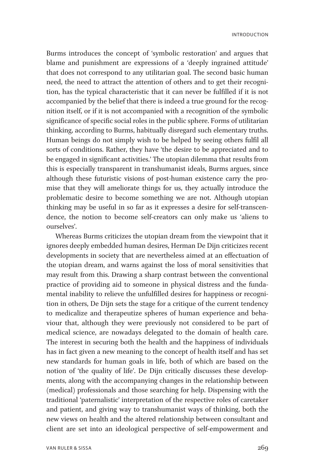Burms introduces the concept of 'symbolic restoration' and argues that blame and punishment are expressions of a 'deeply ingrained attitude' that does not correspond to any utilitarian goal. The second basic human need, the need to attract the attention of others and to get their recognition, has the typical characteristic that it can never be fulfilled if it is not accompanied by the belief that there is indeed a true ground for the recognition itself, or if it is not accompanied with a recognition of the symbolic significance of specific social roles in the public sphere. Forms of utilitarian thinking, according to Burms, habitually disregard such elementary truths. Human beings do not simply wish to be helped by seeing others fulfil all sorts of conditions. Rather, they have 'the desire to be appreciated and to be engaged in significant activities.' The utopian dilemma that results from this is especially transparent in transhumanist ideals, Burms argues, since although these futuristic visions of post-human existence carry the promise that they will ameliorate things for us, they actually introduce the problematic desire to become something we are not. Although utopian thinking may be useful in so far as it expresses a desire for self-transcendence, the notion to become self-creators can only make us 'aliens to ourselves'.

Whereas Burms criticizes the utopian dream from the viewpoint that it ignores deeply embedded human desires, Herman De Dijn criticizes recent developments in society that are nevertheless aimed at an effectuation of the utopian dream, and warns against the loss of moral sensitivities that may result from this. Drawing a sharp contrast between the conventional practice of providing aid to someone in physical distress and the fundamental inability to relieve the unfulfilled desires for happiness or recognition in others, De Dijn sets the stage for a critique of the current tendency to medicalize and therapeutize spheres of human experience and behaviour that, although they were previously not considered to be part of medical science, are nowadays delegated to the domain of health care. The interest in securing both the health and the happiness of individuals has in fact given a new meaning to the concept of health itself and has set new standards for human goals in life, both of which are based on the notion of 'the quality of life'. De Dijn critically discusses these developments, along with the accompanying changes in the relationship between (medical) professionals and those searching for help. Dispensing with the traditional 'paternalistic' interpretation of the respective roles of caretaker and patient, and giving way to transhumanist ways of thinking, both the new views on health and the altered relationship between consultant and client are set into an ideological perspective of self-empowerment and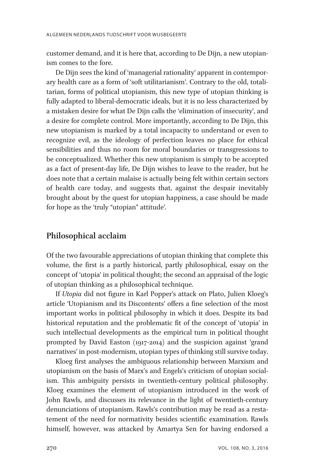customer demand, and it is here that, according to De Dijn, a new utopianism comes to the fore.

De Dijn sees the kind of 'managerial rationality' apparent in contemporary health care as a form of 'soft utilitarianism'. Contrary to the old, totalitarian, forms of political utopianism, this new type of utopian thinking is fully adapted to liberal-democratic ideals, but it is no less characterized by a mistaken desire for what De Dijn calls the 'elimination of insecurity', and a desire for complete control. More importantly, according to De Dijn, this new utopianism is marked by a total incapacity to understand or even to recognize evil, as the ideology of perfection leaves no place for ethical sensibilities and thus no room for moral boundaries or transgressions to be conceptualized. Whether this new utopianism is simply to be accepted as a fact of present-day life, De Dijn wishes to leave to the reader, but he does note that a certain malaise is actually being felt within certain sectors of health care today, and suggests that, against the despair inevitably brought about by the quest for utopian happiness, a case should be made for hope as the 'truly "utopian" attitude'.

#### Philosophical acclaim

Of the two favourable appreciations of utopian thinking that complete this volume, the first is a partly historical, partly philosophical, essay on the concept of 'utopia' in political thought; the second an appraisal of the logic of utopian thinking as a philosophical technique.

If Utopia did not figure in Karl Popper's attack on Plato, Julien Kloeg's article 'Utopianism and its Discontents' offers a fine selection of the most important works in political philosophy in which it does. Despite its bad historical reputation and the problematic fit of the concept of 'utopia' in such intellectual developments as the empirical turn in political thought prompted by David Easton (1917-2014) and the suspicion against 'grand narratives' in post-modernism, utopian types of thinking still survive today.

Kloeg first analyses the ambiguous relationship between Marxism and utopianism on the basis of Marx's and Engels's criticism of utopian socialism. This ambiguity persists in twentieth-century political philosophy. Kloeg examines the element of utopianism introduced in the work of John Rawls, and discusses its relevance in the light of twentieth-century denunciations of utopianism. Rawls's contribution may be read as a restatement of the need for normativity besides scientific examination. Rawls himself, however, was attacked by Amartya Sen for having endorsed a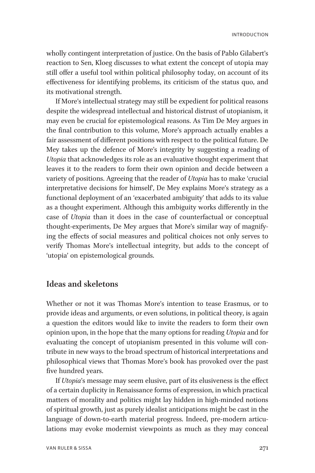wholly contingent interpretation of justice. On the basis of Pablo Gilabert's reaction to Sen, Kloeg discusses to what extent the concept of utopia may still offer a useful tool within political philosophy today, on account of its effectiveness for identifying problems, its criticism of the status quo, and its motivational strength.

If More's intellectual strategy may still be expedient for political reasons despite the widespread intellectual and historical distrust of utopianism, it may even be crucial for epistemological reasons. As Tim De Mey argues in the final contribution to this volume, More's approach actually enables a fair assessment of different positions with respect to the political future. De Mey takes up the defence of More's integrity by suggesting a reading of Utopia that acknowledges its role as an evaluative thought experiment that leaves it to the readers to form their own opinion and decide between a variety of positions. Agreeing that the reader of *Utopia* has to make 'crucial interpretative decisions for himself, De Mey explains More's strategy as a functional deployment of an 'exacerbated ambiguity' that adds to its value as a thought experiment. Although this ambiguity works differently in the case of Utopia than it does in the case of counterfactual or conceptual thought-experiments, De Mey argues that More's similar way of magnifying the effects of social measures and political choices not only serves to verify Thomas More's intellectual integrity, but adds to the concept of 'utopia' on epistemological grounds.

#### Ideas and skeletons

Whether or not it was Thomas More's intention to tease Erasmus, or to provide ideas and arguments, or even solutions, in political theory, is again a question the editors would like to invite the readers to form their own opinion upon, in the hope that the many options for reading Utopia and for evaluating the concept of utopianism presented in this volume will contribute in new ways to the broad spectrum of historical interpretations and philosophical views that Thomas More's book has provoked over the past five hundred years.

If Utopia's message may seem elusive, part of its elusiveness is the effect of a certain duplicity in Renaissance forms of expression, in which practical matters of morality and politics might lay hidden in high-minded notions of spiritual growth, just as purely idealist anticipations might be cast in the language of down-to-earth material progress. Indeed, pre-modern articulations may evoke modernist viewpoints as much as they may conceal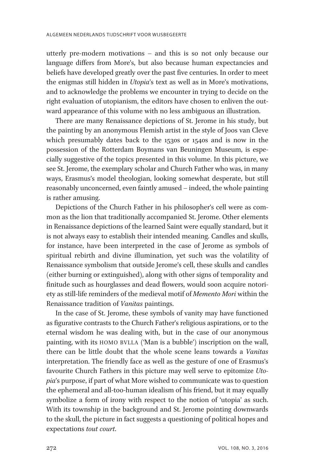utterly pre-modern motivations – and this is so not only because our language differs from More's, but also because human expectancies and beliefs have developed greatly over the past five centuries. In order to meet the enigmas still hidden in Utopia's text as well as in More's motivations, and to acknowledge the problems we encounter in trying to decide on the right evaluation of utopianism, the editors have chosen to enliven the outward appearance of this volume with no less ambiguous an illustration.

There are many Renaissance depictions of St. Jerome in his study, but the painting by an anonymous Flemish artist in the style of Joos van Cleve which presumably dates back to the 1530s or 1540s and is now in the possession of the Rotterdam Boymans van Beuningen Museum, is especially suggestive of the topics presented in this volume. In this picture, we see St. Jerome, the exemplary scholar and Church Father who was, in many ways, Erasmus's model theologian, looking somewhat desperate, but still reasonably unconcerned, even faintly amused – indeed, the whole painting is rather amusing.

Depictions of the Church Father in his philosopher's cell were as common as the lion that traditionally accompanied St. Jerome. Other elements in Renaissance depictions of the learned Saint were equally standard, but it is not always easy to establish their intended meaning. Candles and skulls, for instance, have been interpreted in the case of Jerome as symbols of spiritual rebirth and divine illumination, yet such was the volatility of Renaissance symbolism that outside Jerome's cell, these skulls and candles (either burning or extinguished), along with other signs of temporality and finitude such as hourglasses and dead flowers, would soon acquire notoriety as still-life reminders of the medieval motif of Memento Mori within the Renaissance tradition of Vanitas paintings.

In the case of St. Jerome, these symbols of vanity may have functioned as figurative contrasts to the Church Father's religious aspirations, or to the eternal wisdom he was dealing with, but in the case of our anonymous painting, with its HOMO BVLLA ('Man is a bubble') inscription on the wall, there can be little doubt that the whole scene leans towards a Vanitas interpretation. The friendly face as well as the gesture of one of Erasmus's favourite Church Fathers in this picture may well serve to epitomize Utopia's purpose, if part of what More wished to communicate was to question the ephemeral and all-too-human idealism of his friend, but it may equally symbolize a form of irony with respect to the notion of 'utopia' as such. With its township in the background and St. Jerome pointing downwards to the skull, the picture in fact suggests a questioning of political hopes and expectations tout court.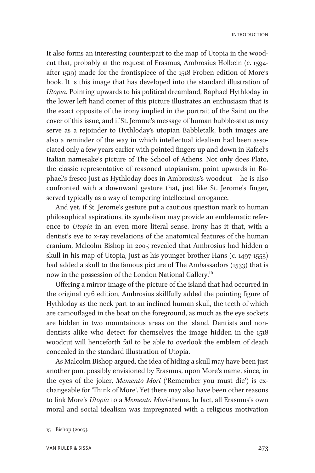It also forms an interesting counterpart to the map of Utopia in the woodcut that, probably at the request of Erasmus, Ambrosius Holbein (c. 1594 after 1519) made for the frontispiece of the 1518 Froben edition of More's book. It is this image that has developed into the standard illustration of Utopia. Pointing upwards to his political dreamland, Raphael Hythloday in the lower left hand corner of this picture illustrates an enthusiasm that is the exact opposite of the irony implied in the portrait of the Saint on the cover of this issue, and if St. Jerome's message of human bubble-status may serve as a rejoinder to Hythloday's utopian Babbletalk, both images are also a reminder of the way in which intellectual idealism had been associated only a few years earlier with pointed fingers up and down in Rafael's Italian namesake's picture of The School of Athens. Not only does Plato, the classic representative of reasoned utopianism, point upwards in Raphael's fresco just as Hythloday does in Ambrosius's woodcut – he is also confronted with a downward gesture that, just like St. Jerome's finger, served typically as a way of tempering intellectual arrogance.

And yet, if St. Jerome's gesture put a cautious question mark to human philosophical aspirations, its symbolism may provide an emblematic reference to Utopia in an even more literal sense. Irony has it that, with a dentist's eye to x-ray revelations of the anatomical features of the human cranium, Malcolm Bishop in 2005 revealed that Ambrosius had hidden a skull in his map of Utopia, just as his younger brother Hans (c. 1497-1553) had added a skull to the famous picture of The Ambassadors (1533) that is now in the possession of the London National Gallery.<sup>15</sup>

Offering a mirror-image of the picture of the island that had occurred in the original 1516 edition, Ambrosius skillfully added the pointing figure of Hythloday as the neck part to an inclined human skull, the teeth of which are camouflaged in the boat on the foreground, as much as the eye sockets are hidden in two mountainous areas on the island. Dentists and nondentists alike who detect for themselves the image hidden in the 1518 woodcut will henceforth fail to be able to overlook the emblem of death concealed in the standard illustration of Utopia.

As Malcolm Bishop argued, the idea of hiding a skull may have been just another pun, possibly envisioned by Erasmus, upon More's name, since, in the eyes of the joker, Memento Mori ('Remember you must die') is exchangeable for 'Think of More'. Yet there may also have been other reasons to link More's Utopia to a Memento Mori-theme. In fact, all Erasmus's own moral and social idealism was impregnated with a religious motivation